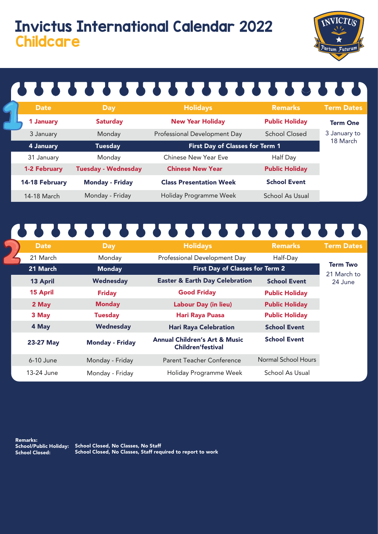### Invictus International Calendar 2022 **Childcare**



## 

| <b>Date</b>         | <b>Day</b>                 | <b>Holidays</b>                 | <b>Remarks</b>        | <b>Term Dates</b> |
|---------------------|----------------------------|---------------------------------|-----------------------|-------------------|
| 1 January           | <b>Saturday</b>            | <b>New Year Holiday</b>         | <b>Public Holiday</b> | <b>Term One</b>   |
| 3 January           | Monday                     | Professional Development Day    | <b>School Closed</b>  | 3 January to      |
| 4 January           | <b>Tuesday</b>             | First Day of Classes for Term 1 |                       | 18 March          |
| 31 January          | Monday                     | Chinese New Year Eve            | Half Day              |                   |
| <b>1-2 February</b> | <b>Tuesday - Wednesday</b> | <b>Chinese New Year</b>         | <b>Public Holiday</b> |                   |
| 14-18 February      | <b>Monday - Friday</b>     | <b>Class Presentation Week</b>  | <b>School Event</b>   |                   |
| 14-18 March         | Monday - Friday            | Holiday Programme Week          | School As Usual       |                   |

## 

| <b>Date</b>     | Day                    | <b>Holidays</b>                                                      | <b>Remarks</b>        | <b>Term Dates</b>              |
|-----------------|------------------------|----------------------------------------------------------------------|-----------------------|--------------------------------|
| 21 March        | Monday                 | Professional Development Day                                         | Half-Day              |                                |
| 21 March        | <b>Monday</b>          | First Day of Classes for Term 2                                      |                       | <b>Term Two</b><br>21 March to |
| 13 April        | Wednesday              | <b>Easter &amp; Earth Day Celebration</b>                            | <b>School Event</b>   | 24 June                        |
| <b>15 April</b> | <b>Friday</b>          | <b>Good Friday</b>                                                   | <b>Public Holiday</b> |                                |
| 2 May           | <b>Monday</b>          | <b>Labour Day (in lieu)</b>                                          | <b>Public Holiday</b> |                                |
| 3 May           | <b>Tuesday</b>         | <b>Hari Raya Puasa</b>                                               | <b>Public Holiday</b> |                                |
| 4 May           | Wednesday              | <b>Hari Raya Celebration</b>                                         | <b>School Event</b>   |                                |
| 23-27 May       | <b>Monday - Friday</b> | <b>Annual Children's Art &amp; Music</b><br><b>Children'festival</b> | <b>School Event</b>   |                                |
| $6-10$ June     | Monday - Friday        | Parent Teacher Conference                                            | Normal School Hours   |                                |
| 13-24 June      | Monday - Friday        | Holiday Programme Week                                               | School As Usual       |                                |

Remarks:

School Closed:

School/Public Holiday: School Closed, No Classes, No Staff School Closed, No Classes, Staff required to report to work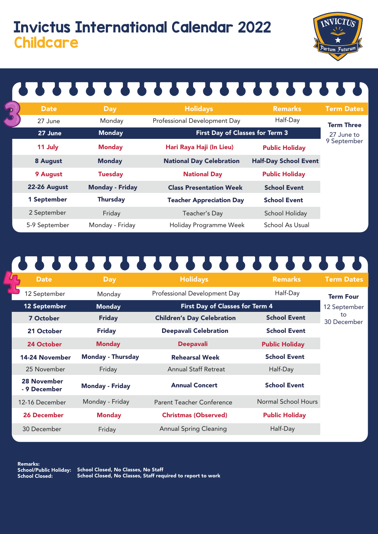### Invictus International Calendar 2022 **Childcare**



# 

| $\overline{\mathbf{S}}$ | <b>Date</b>   | <b>Day</b>             | <b>Holidays</b>                        | <b>Remarks</b>               | <b>Term Dates</b>         |
|-------------------------|---------------|------------------------|----------------------------------------|------------------------------|---------------------------|
|                         | 27 June       | Monday                 | Professional Development Day           | Half-Day                     | <b>Term Three</b>         |
|                         | 27 June       | <b>Monday</b>          | <b>First Day of Classes for Term 3</b> |                              | 27 June to<br>9 September |
|                         | 11 July       | <b>Monday</b>          | Hari Raya Haji (In Lieu)               | <b>Public Holiday</b>        |                           |
|                         | 8 August      | <b>Monday</b>          | <b>National Day Celebration</b>        | <b>Half-Day School Event</b> |                           |
|                         | 9 August      | <b>Tuesday</b>         | <b>National Day</b>                    | <b>Public Holiday</b>        |                           |
|                         | 22-26 August  | <b>Monday - Friday</b> | <b>Class Presentation Week</b>         | <b>School Event</b>          |                           |
|                         | 1 September   | <b>Thursday</b>        | <b>Teacher Appreciation Day</b>        | <b>School Event</b>          |                           |
|                         | 2 September   | Friday                 | Teacher's Day                          | School Holiday               |                           |
|                         | 5-9 September | Monday - Friday        | Holiday Programme Week                 | School As Usual              |                           |

## 1111111111111111111111

|              | <b>Date</b>                 | <b>Day</b>               | <b>Holidays</b>                   | <b>Remarks</b>        | <b>Term Dates</b> |  |
|--------------|-----------------------------|--------------------------|-----------------------------------|-----------------------|-------------------|--|
|              | 12 September                | Monday                   | Professional Development Day      | Half-Day              | <b>Term Four</b>  |  |
| 12 September |                             | <b>Monday</b>            | First Day of Classes for Term 4   |                       | 12 September      |  |
|              | <b>7 October</b>            | <b>Friday</b>            | <b>Children's Day Celebration</b> | <b>School Event</b>   | to<br>30 December |  |
|              | 21 October                  | <b>Friday</b>            | <b>Deepavali Celebration</b>      | <b>School Event</b>   |                   |  |
|              | 24 October                  | <b>Monday</b>            | <b>Deepavali</b>                  | <b>Public Holiday</b> |                   |  |
|              | 14-24 November              | <b>Monday - Thursday</b> | <b>Rehearsal Week</b>             | <b>School Event</b>   |                   |  |
|              | 25 November                 | Friday                   | <b>Annual Staff Retreat</b>       | Half-Day              |                   |  |
|              | 28 November<br>- 9 December | <b>Monday - Friday</b>   | <b>Annual Concert</b>             | <b>School Event</b>   |                   |  |
|              | 12-16 December              | Monday - Friday          | Parent Teacher Conference         | Normal School Hours   |                   |  |
|              | <b>26 December</b>          | <b>Monday</b>            | <b>Christmas (Observed)</b>       | <b>Public Holiday</b> |                   |  |
|              | 30 December                 | Friday                   | <b>Annual Spring Cleaning</b>     | Half-Day              |                   |  |

Remarks: School Closed:

School/Public Holiday: School Closed, No Classes, No Staff School Closed, No Classes, Staff required to report to work